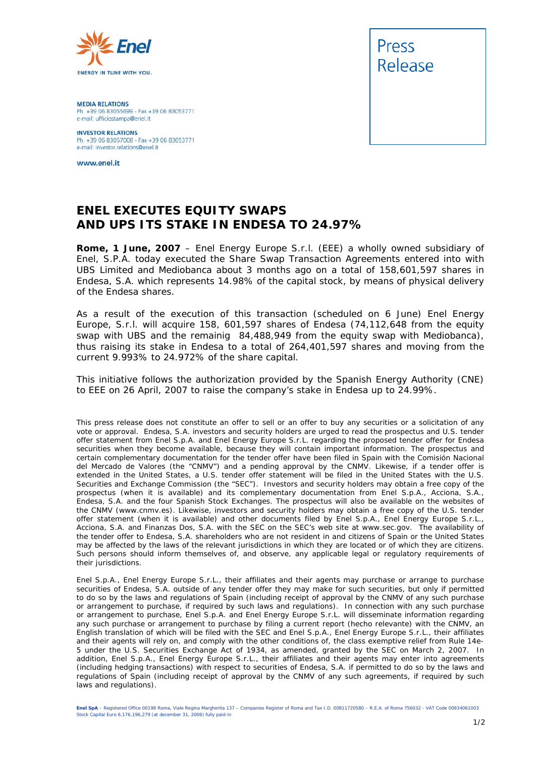

**MEDIA RELATIONS** Ph. +39 06 83055699 - Fax +39 06 83053771 e-mail: ufficiostampa@enel.it

**INVESTOR RELATIONS**<br>Ph. +39 06 83057008 - Fax +39 06 83053771 e-mail: investor.relations@enel.it

www.enel.it



## **ENEL EXECUTES EQUITY SWAPS AND UPS ITS STAKE IN ENDESA TO 24.97%**

**Rome, 1 June, 2007** – Enel Energy Europe S.r.l. (EEE) a wholly owned subsidiary of Enel, S.P.A. today executed the Share Swap Transaction Agreements entered into with UBS Limited and Mediobanca about 3 months ago on a total of 158,601,597 shares in Endesa, S.A. which represents 14.98% of the capital stock, by means of physical delivery of the Endesa shares.

As a result of the execution of this transaction (scheduled on 6 June) Enel Energy Europe, S.r.l. will acquire 158, 601,597 shares of Endesa (74,112,648 from the equity swap with UBS and the remainig 84,488,949 from the equity swap with Mediobanca), thus raising its stake in Endesa to a total of 264,401,597 shares and moving from the current 9.993% to 24.972% of the share capital.

This initiative follows the authorization provided by the Spanish Energy Authority (CNE) to EEE on 26 April, 2007 to raise the company's stake in Endesa up to 24.99%.

This press release does not constitute an offer to sell or an offer to buy any securities or a solicitation of any vote or approval. Endesa, S.A. investors and security holders are urged to read the prospectus and U.S. tender offer statement from Enel S.p.A. and Enel Energy Europe S.r.L. regarding the proposed tender offer for Endesa securities when they become available, because they will contain important information. The prospectus and certain complementary documentation for the tender offer have been filed in Spain with the *Comisión Nacional del Mercado de Valores* (the "CNMV") and a pending approval by the CNMV. Likewise, if a tender offer is extended in the United States, a U.S. tender offer statement will be filed in the United States with the U.S. Securities and Exchange Commission (the "SEC"). Investors and security holders may obtain a free copy of the prospectus (when it is available) and its complementary documentation from Enel S.p.A., Acciona, S.A., Endesa, S.A. and the four Spanish Stock Exchanges. The prospectus will also be available on the websites of the CNMV (*www.cnmv.es*). Likewise, investors and security holders may obtain a free copy of the U.S. tender offer statement (when it is available) and other documents filed by Enel S.p.A., Enel Energy Europe S.r.L., Acciona, S.A. and Finanzas Dos, S.A. with the SEC on the SEC's web site at *www.sec.gov*. The availability of the tender offer to Endesa, S.A. shareholders who are not resident in and citizens of Spain or the United States may be affected by the laws of the relevant jurisdictions in which they are located or of which they are citizens. Such persons should inform themselves of, and observe, any applicable legal or regulatory requirements of their jurisdictions.

Enel S.p.A., Enel Energy Europe S.r.L., their affiliates and their agents may purchase or arrange to purchase securities of Endesa, S.A. outside of any tender offer they may make for such securities, but only if permitted to do so by the laws and regulations of Spain (including receipt of approval by the CNMV of any such purchase or arrangement to purchase, if required by such laws and regulations). In connection with any such purchase or arrangement to purchase, Enel S.p.A. and Enel Energy Europe S.r.L. will disseminate information regarding any such purchase or arrangement to purchase by filing a current report (*hecho relevante*) with the CNMV, an English translation of which will be filed with the SEC and Enel S.p.A., Enel Energy Europe S.r.L., their affiliates and their agents will rely on, and comply with the other conditions of, the class exemptive relief from Rule 14e-5 under the U.S. Securities Exchange Act of 1934, as amended, granted by the SEC on March 2, 2007. In addition, Enel S.p.A., Enel Energy Europe S.r.L., their affiliates and their agents may enter into agreements (including hedging transactions) with respect to securities of Endesa, S.A. if permitted to do so by the laws and regulations of Spain (including receipt of approval by the CNMV of any such agreements, if required by such laws and regulations).